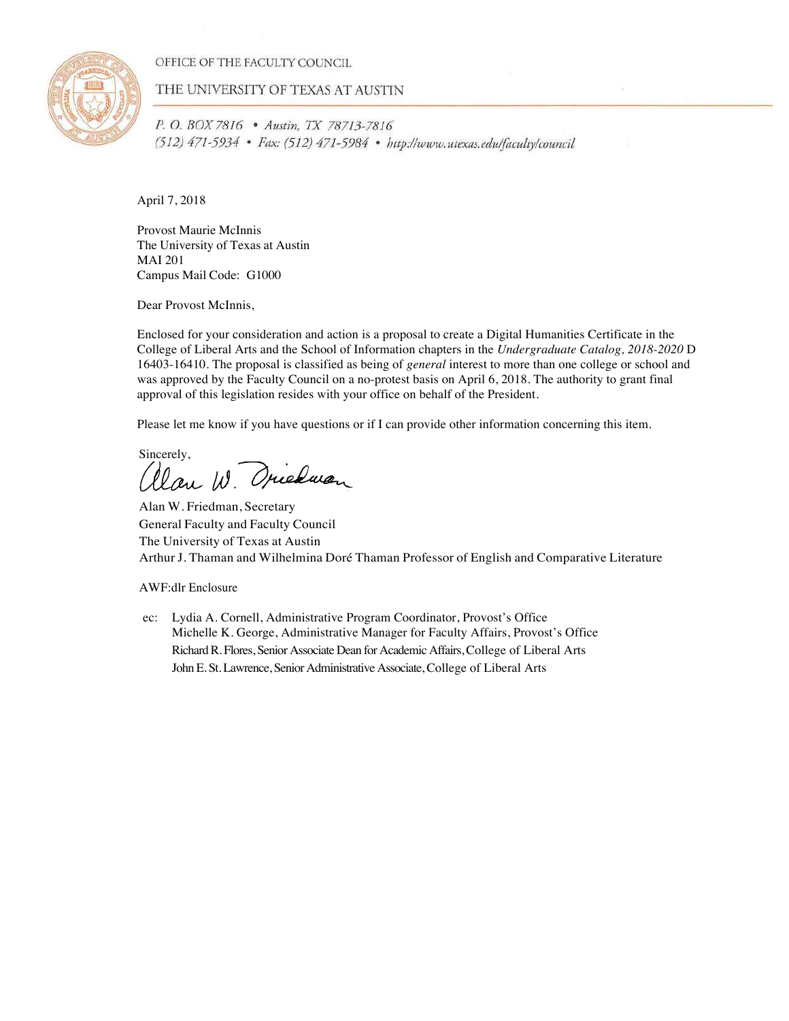OFFICE OF THE FACULTY COUNCIL



THE UNIVERSITY OF TEXAS AT AUSTIN

P. O. BOX 7816 . Austin, TX 78713-7816 (512) 471-5934 • Fax: (512) 471-5984 • http://www.utexas.edu/faculty/council

April 7, 2018

Provost Maurie McInnis The University of Texas at Austin MAI 201 Campus Mail Code: G1000

Dear Provost McInnis,

Enclosed for your consideration and action is a proposal to create a Digital Humanities Certificate in the College of Liberal Arts and the School of Information chapters in the *Undergraduate Catalog, 2018-2020* D 16403-16410. The proposal is classified as being of *general* interest to more than one college or school and was approved by the Faculty Council on a no-protest basis on April 6, 2018. The authority to grant final approval of this legislation resides with your office on behalf of the President.

Please let me know if you have questions or if I can provide other information concerning this item.

Sincerely,<br>allan W. Orienan

Alan W. Friedman, Secretary General Faculty and Faculty Council The University of Texas at Austin Arthur J. Thaman and Wilhelmina Doré Thaman Professor of English and Comparative Literature

AWF:dlr Enclosure

ec: Lydia A. Cornell, Administrative Program Coordinator, Provost's Office Michelle K. George, Administrative Manager for Faculty Affairs, Provost's Office Richard R. Flores, Senior Associate Dean for Academic Affairs, College of Liberal Arts John E. St. Lawrence, Senior Administrative Associate, College of Liberal Arts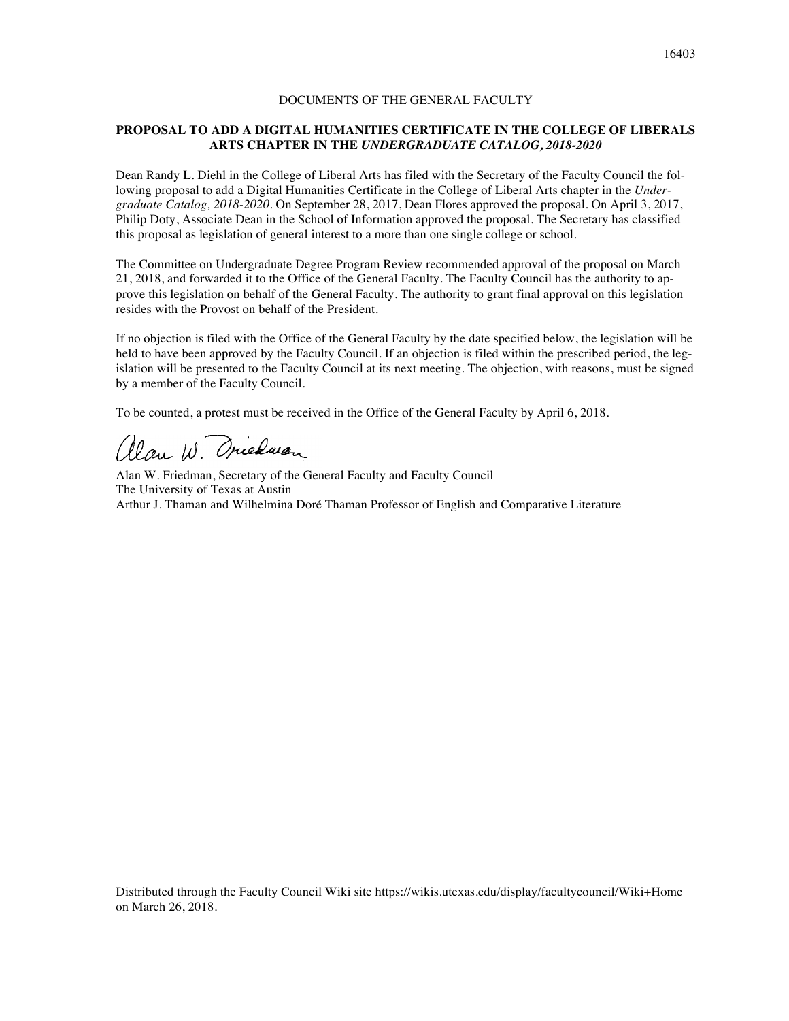# DOCUMENTS OF THE GENERAL FACULTY

# **PROPOSAL TO ADD A DIGITAL HUMANITIES CERTIFICATE IN THE COLLEGE OF LIBERALS ARTS CHAPTER IN THE** *UNDERGRADUATE CATALOG, 2018-2020*

Dean Randy L. Diehl in the College of Liberal Arts has filed with the Secretary of the Faculty Council the following proposal to add a Digital Humanities Certificate in the College of Liberal Arts chapter in the *Undergraduate Catalog, 2018-2020*. On September 28, 2017, Dean Flores approved the proposal. On April 3, 2017, Philip Doty, Associate Dean in the School of Information approved the proposal. The Secretary has classified this proposal as legislation of general interest to a more than one single college or school.

The Committee on Undergraduate Degree Program Review recommended approval of the proposal on March 21, 2018, and forwarded it to the Office of the General Faculty. The Faculty Council has the authority to approve this legislation on behalf of the General Faculty. The authority to grant final approval on this legislation resides with the Provost on behalf of the President.

If no objection is filed with the Office of the General Faculty by the date specified below, the legislation will be held to have been approved by the Faculty Council. If an objection is filed within the prescribed period, the legislation will be presented to the Faculty Council at its next meeting. The objection, with reasons, must be signed by a member of the Faculty Council.

To be counted, a protest must be received in the Office of the General Faculty by April 6, 2018.

alan W Oriedwan

Alan W. Friedman, Secretary of the General Faculty and Faculty Council The University of Texas at Austin Arthur J. Thaman and Wilhelmina Doré Thaman Professor of English and Comparative Literature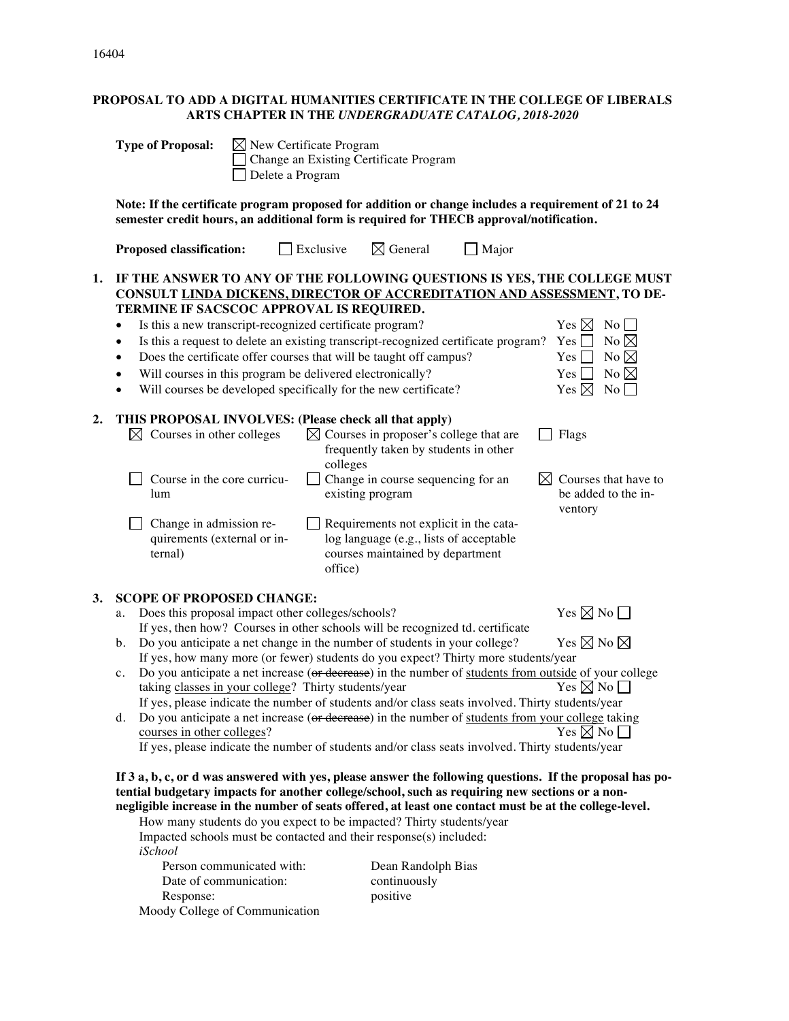16404

# **PROPOSAL TO ADD A DIGITAL HUMANITIES CERTIFICATE IN THE COLLEGE OF LIBERALS ARTS CHAPTER IN THE** *UNDERGRADUATE CATALOG, 2018-2020*

|    | <b>Type of Proposal:</b><br>$\boxtimes$ New Certificate Program<br>Delete a Program                                                                                                                                                                                                                                                                                                                                                                                                                                                                                                                                                                                                                                                                                                                                                                                                                                                                                                                                                                                                                                                                                                                                                                                                                                                                                                         |                     | Change an Existing Certificate Program                                                                                                                                                                                                                                         |              |                                                                          |                                                                                                                                 |
|----|---------------------------------------------------------------------------------------------------------------------------------------------------------------------------------------------------------------------------------------------------------------------------------------------------------------------------------------------------------------------------------------------------------------------------------------------------------------------------------------------------------------------------------------------------------------------------------------------------------------------------------------------------------------------------------------------------------------------------------------------------------------------------------------------------------------------------------------------------------------------------------------------------------------------------------------------------------------------------------------------------------------------------------------------------------------------------------------------------------------------------------------------------------------------------------------------------------------------------------------------------------------------------------------------------------------------------------------------------------------------------------------------|---------------------|--------------------------------------------------------------------------------------------------------------------------------------------------------------------------------------------------------------------------------------------------------------------------------|--------------|--------------------------------------------------------------------------|---------------------------------------------------------------------------------------------------------------------------------|
|    | Note: If the certificate program proposed for addition or change includes a requirement of 21 to 24<br>semester credit hours, an additional form is required for THECB approval/notification.                                                                                                                                                                                                                                                                                                                                                                                                                                                                                                                                                                                                                                                                                                                                                                                                                                                                                                                                                                                                                                                                                                                                                                                               |                     |                                                                                                                                                                                                                                                                                |              |                                                                          |                                                                                                                                 |
|    | <b>Proposed classification:</b>                                                                                                                                                                                                                                                                                                                                                                                                                                                                                                                                                                                                                                                                                                                                                                                                                                                                                                                                                                                                                                                                                                                                                                                                                                                                                                                                                             | $\Box$ Exclusive    | $\boxtimes$ General                                                                                                                                                                                                                                                            | $\Box$ Major |                                                                          |                                                                                                                                 |
| 1. | IF THE ANSWER TO ANY OF THE FOLLOWING QUESTIONS IS YES, THE COLLEGE MUST<br>CONSULT LINDA DICKENS, DIRECTOR OF ACCREDITATION AND ASSESSMENT, TO DE-<br>TERMINE IF SACSCOC APPROVAL IS REQUIRED.<br>Is this a new transcript-recognized certificate program?<br>$\bullet$<br>Is this a request to delete an existing transcript-recognized certificate program?<br>$\bullet$<br>Does the certificate offer courses that will be taught off campus?<br>$\bullet$<br>Will courses in this program be delivered electronically?<br>٠<br>Will courses be developed specifically for the new certificate?<br>٠                                                                                                                                                                                                                                                                                                                                                                                                                                                                                                                                                                                                                                                                                                                                                                                    |                     |                                                                                                                                                                                                                                                                                |              | Yes $\boxtimes$<br>Yes  <br>Yes  <br>Yes <sub>l</sub><br>Yes $\boxtimes$ | $\overline{N_0}$<br>No $\boxtimes$<br>No $\boxtimes$<br>No $\boxtimes$<br>No                                                    |
| 2. | THIS PROPOSAL INVOLVES: (Please check all that apply)<br>$\boxtimes$ Courses in other colleges<br>Course in the core curricu-<br>lum<br>Change in admission re-<br>quirements (external or in-<br>ternal)                                                                                                                                                                                                                                                                                                                                                                                                                                                                                                                                                                                                                                                                                                                                                                                                                                                                                                                                                                                                                                                                                                                                                                                   | colleges<br>office) | $\boxtimes$ Courses in proposer's college that are<br>frequently taken by students in other<br>Change in course sequencing for an<br>existing program<br>Requirements not explicit in the cata-<br>log language (e.g., lists of acceptable<br>courses maintained by department |              | Flags<br>ventory                                                         | Courses that have to<br>be added to the in-                                                                                     |
| 3. | <b>SCOPE OF PROPOSED CHANGE:</b><br>Does this proposal impact other colleges/schools?<br>a.<br>If yes, then how? Courses in other schools will be recognized td. certificate<br>Do you anticipate a net change in the number of students in your college?<br>b.<br>If yes, how many more (or fewer) students do you expect? Thirty more students/year<br>Do you anticipate a net increase (or decrease) in the number of students from outside of your college<br>c.<br>taking classes in your college? Thirty students/year<br>If yes, please indicate the number of students and/or class seats involved. Thirty students/year<br>Do you anticipate a net increase (or decrease) in the number of students from your college taking<br>d.<br>courses in other colleges?<br>If yes, please indicate the number of students and/or class seats involved. Thirty students/year<br>If 3 a, b, c, or d was answered with yes, please answer the following questions. If the proposal has po-<br>tential budgetary impacts for another college/school, such as requiring new sections or a non-<br>negligible increase in the number of seats offered, at least one contact must be at the college-level.<br>How many students do you expect to be impacted? Thirty students/year<br>Impacted schools must be contacted and their response(s) included:<br>iSchool<br>Person communicated with: |                     | Dean Randolph Bias                                                                                                                                                                                                                                                             |              |                                                                          | Yes $\boxtimes$ No $\Box$<br>Yes $\boxtimes$ No $\boxtimes$<br>Yes $\boxtimes$ No $\Box$<br>Yes $\nabla \mathbb{N}$ No $\nabla$ |
|    | Date of communication:                                                                                                                                                                                                                                                                                                                                                                                                                                                                                                                                                                                                                                                                                                                                                                                                                                                                                                                                                                                                                                                                                                                                                                                                                                                                                                                                                                      |                     | continuously                                                                                                                                                                                                                                                                   |              |                                                                          |                                                                                                                                 |

Response: positive Moody College of Communication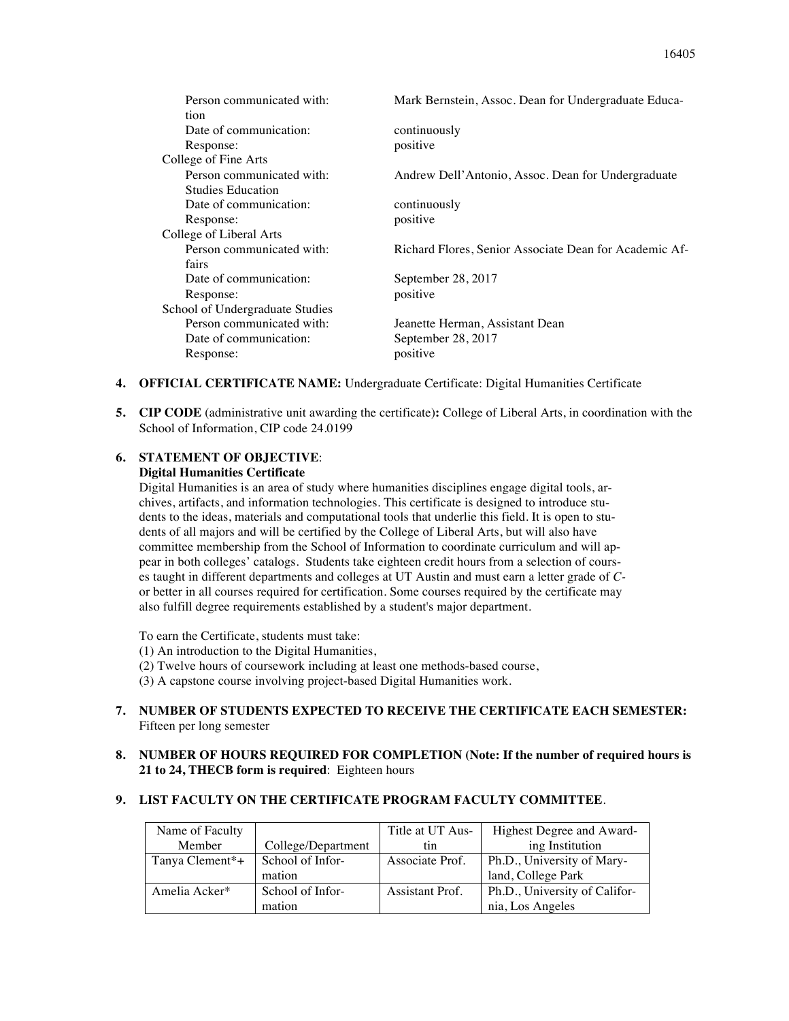| Person communicated with:       | Mark Bernstein, Assoc. Dean for Undergraduate Educa-   |
|---------------------------------|--------------------------------------------------------|
| tion                            |                                                        |
| Date of communication:          | continuously                                           |
| Response:                       | positive                                               |
| College of Fine Arts            |                                                        |
| Person communicated with:       | Andrew Dell'Antonio, Assoc. Dean for Undergraduate     |
| <b>Studies Education</b>        |                                                        |
| Date of communication:          | continuously                                           |
| Response:                       | positive                                               |
| College of Liberal Arts         |                                                        |
| Person communicated with:       | Richard Flores, Senior Associate Dean for Academic Af- |
| fairs                           |                                                        |
| Date of communication:          | September 28, 2017                                     |
| Response:                       | positive                                               |
| School of Undergraduate Studies |                                                        |
| Person communicated with:       | Jeanette Herman, Assistant Dean                        |
| Date of communication:          | September 28, 2017                                     |
| Response:                       | positive                                               |
|                                 |                                                        |

- **4. OFFICIAL CERTIFICATE NAME:** Undergraduate Certificate: Digital Humanities Certificate
- **5. CIP CODE** (administrative unit awarding the certificate)**:** College of Liberal Arts, in coordination with the School of Information, CIP code 24.0199

# **6. STATEMENT OF OBJECTIVE**:

# **Digital Humanities Certificate**

Digital Humanities is an area of study where humanities disciplines engage digital tools, archives, artifacts, and information technologies. This certificate is designed to introduce students to the ideas, materials and computational tools that underlie this field. It is open to students of all majors and will be certified by the College of Liberal Arts, but will also have committee membership from the School of Information to coordinate curriculum and will appear in both colleges' catalogs. Students take eighteen credit hours from a selection of courses taught in different departments and colleges at UT Austin and must earn a letter grade of *C*or better in all courses required for certification. Some courses required by the certificate may also fulfill degree requirements established by a student's major department.

To earn the Certificate, students must take:

- (1) An introduction to the Digital Humanities,
- (2) Twelve hours of coursework including at least one methods-based course,

(3) A capstone course involving project-based Digital Humanities work.

**7. NUMBER OF STUDENTS EXPECTED TO RECEIVE THE CERTIFICATE EACH SEMESTER:**  Fifteen per long semester

# **8. NUMBER OF HOURS REQUIRED FOR COMPLETION (Note: If the number of required hours is 21 to 24, THECB form is required**: Eighteen hours

# **9. LIST FACULTY ON THE CERTIFICATE PROGRAM FACULTY COMMITTEE**.

| Name of Faculty             |                    | Title at UT Aus- | Highest Degree and Award-     |
|-----------------------------|--------------------|------------------|-------------------------------|
| Member                      | College/Department | tın              | ing Institution               |
| Tanya Clement <sup>*+</sup> | School of Infor-   | Associate Prof.  | Ph.D., University of Mary-    |
|                             | mation             |                  | land, College Park            |
| Amelia Acker*               | School of Infor-   | Assistant Prof.  | Ph.D., University of Califor- |
|                             | mation             |                  | nia, Los Angeles              |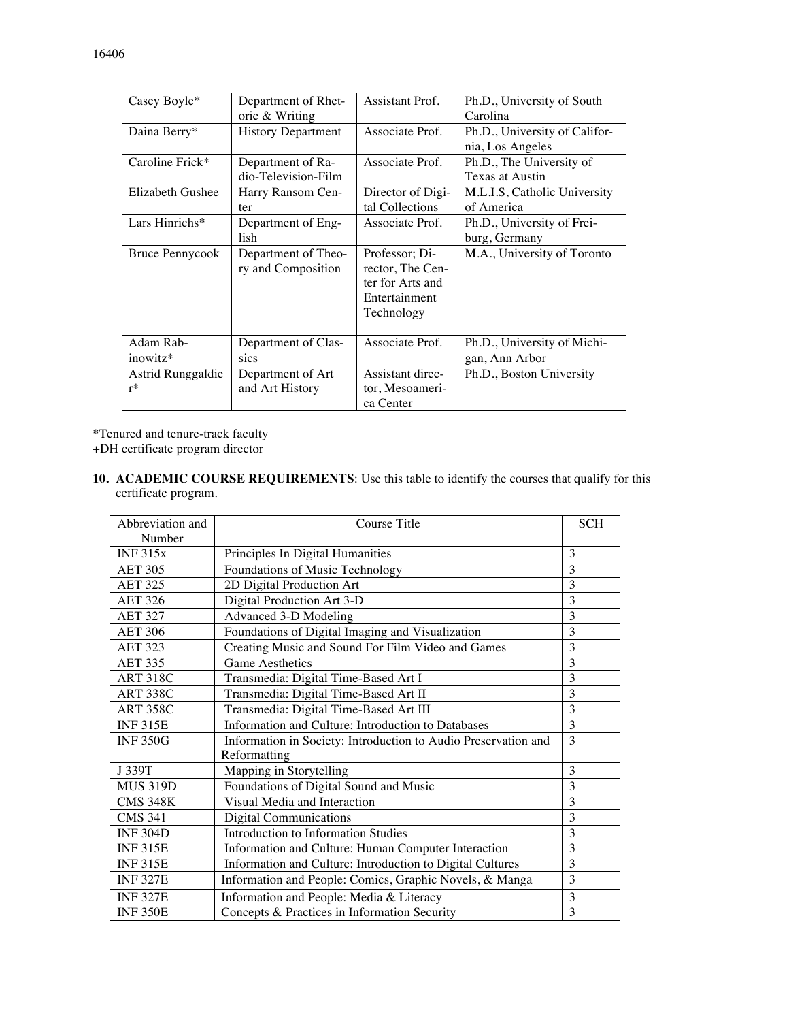| Casey Boyle*      | Department of Rhet-       | Assistant Prof.   | Ph.D., University of South    |
|-------------------|---------------------------|-------------------|-------------------------------|
|                   | oric & Writing            |                   | Carolina                      |
| Daina Berry*      | <b>History Department</b> | Associate Prof.   | Ph.D., University of Califor- |
|                   |                           |                   | nia, Los Angeles              |
| Caroline Frick*   | Department of Ra-         | Associate Prof.   | Ph.D., The University of      |
|                   | dio-Television-Film       |                   | Texas at Austin               |
| Elizabeth Gushee  | Harry Ransom Cen-         | Director of Digi- | M.L.I.S, Catholic University  |
|                   | ter                       | tal Collections   | of America                    |
| Lars Hinrichs*    | Department of Eng-        | Associate Prof.   | Ph.D., University of Frei-    |
|                   | lish                      |                   | burg, Germany                 |
| Bruce Pennycook   | Department of Theo-       | Professor; Di-    | M.A., University of Toronto   |
|                   | ry and Composition        | rector, The Cen-  |                               |
|                   |                           | ter for Arts and  |                               |
|                   |                           | Entertainment     |                               |
|                   |                           | Technology        |                               |
|                   |                           |                   |                               |
| Adam Rab-         | Department of Clas-       | Associate Prof.   | Ph.D., University of Michi-   |
| inowitz*          | sics                      |                   | gan, Ann Arbor                |
| Astrid Runggaldie | Department of Art         | Assistant direc-  | Ph.D., Boston University      |
| $r^*$             | and Art History           | tor, Mesoameri-   |                               |
|                   |                           | ca Center         |                               |

\*Tenured and tenure-track faculty

+DH certificate program director

**10. ACADEMIC COURSE REQUIREMENTS**: Use this table to identify the courses that qualify for this certificate program.

| Abbreviation and | Course Title                                                   | <b>SCH</b> |
|------------------|----------------------------------------------------------------|------------|
| Number           |                                                                |            |
| INF 315x         | Principles In Digital Humanities                               | 3          |
| <b>AET 305</b>   | Foundations of Music Technology                                | 3          |
| <b>AET 325</b>   | 2D Digital Production Art                                      | 3          |
| <b>AET 326</b>   | Digital Production Art 3-D                                     | 3          |
| <b>AET 327</b>   | Advanced 3-D Modeling                                          | 3          |
| <b>AET 306</b>   | Foundations of Digital Imaging and Visualization               | 3          |
| <b>AET 323</b>   | Creating Music and Sound For Film Video and Games              | 3          |
| <b>AET 335</b>   | <b>Game Aesthetics</b>                                         | 3          |
| <b>ART 318C</b>  | Transmedia: Digital Time-Based Art I                           | 3          |
| <b>ART 338C</b>  | Transmedia: Digital Time-Based Art II                          | 3          |
| <b>ART 358C</b>  | Transmedia: Digital Time-Based Art III                         | 3          |
| <b>INF315E</b>   | Information and Culture: Introduction to Databases             | 3          |
| <b>INF350G</b>   | Information in Society: Introduction to Audio Preservation and | 3          |
|                  | Reformatting                                                   |            |
| J 339T           | Mapping in Storytelling                                        | 3          |
| <b>MUS 319D</b>  | Foundations of Digital Sound and Music                         | 3          |
| <b>CMS 348K</b>  | Visual Media and Interaction                                   | 3          |
| <b>CMS 341</b>   | <b>Digital Communications</b>                                  | 3          |
| <b>INF 304D</b>  | <b>Introduction to Information Studies</b>                     | 3          |
| <b>INF315E</b>   | Information and Culture: Human Computer Interaction            | 3          |
| <b>INF315E</b>   | Information and Culture: Introduction to Digital Cultures      | 3          |
| <b>INF327E</b>   | Information and People: Comics, Graphic Novels, & Manga        | 3          |
| <b>INF 327E</b>  | Information and People: Media & Literacy                       | 3          |
| <b>INF 350E</b>  | Concepts & Practices in Information Security                   | 3          |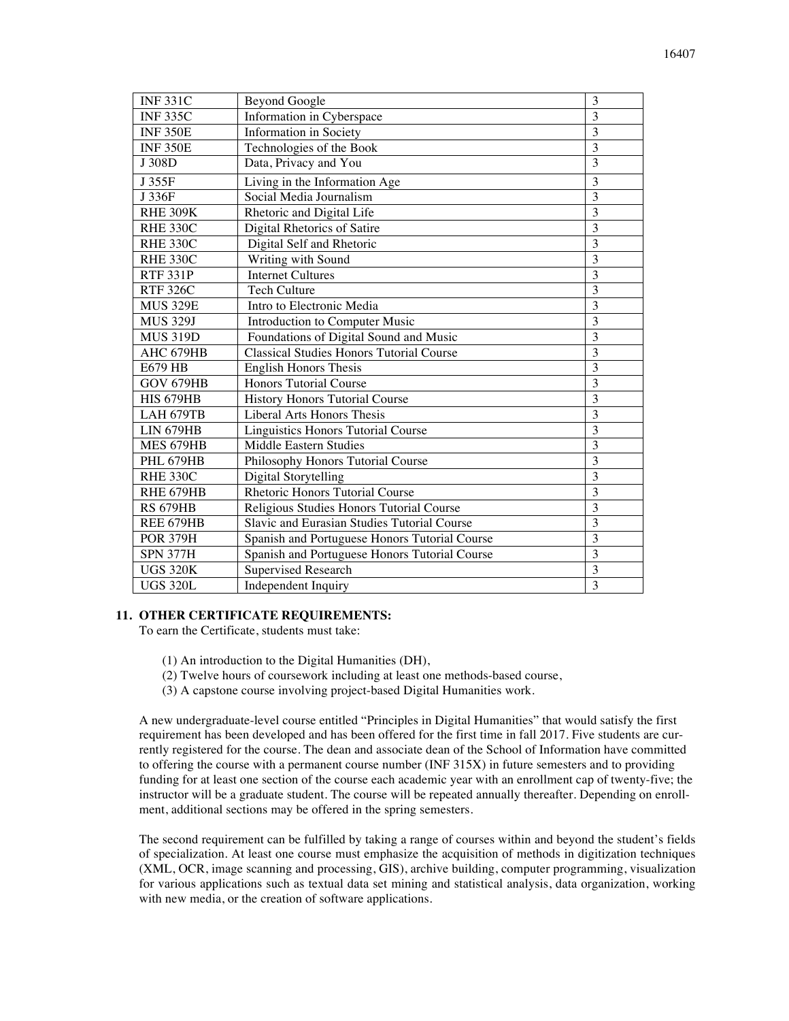| <b>INF331C</b>   | <b>Beyond Google</b>                            | 3              |
|------------------|-------------------------------------------------|----------------|
| <b>INF335C</b>   | Information in Cyberspace                       | 3              |
| <b>INF 350E</b>  | Information in Society                          | 3              |
| <b>INF 350E</b>  | Technologies of the Book                        | $\overline{3}$ |
| J 308D           | Data, Privacy and You                           | $\overline{3}$ |
| J 355F           | Living in the Information Age                   | 3              |
| J 336F           | Social Media Journalism                         | $\overline{3}$ |
| <b>RHE 309K</b>  | Rhetoric and Digital Life                       | $\overline{3}$ |
| <b>RHE 330C</b>  | Digital Rhetorics of Satire                     | $\overline{3}$ |
| RHE 330C         | Digital Self and Rhetoric                       | 3              |
| RHE 330C         | Writing with Sound                              | 3              |
| <b>RTF 331P</b>  | <b>Internet Cultures</b>                        | $\overline{3}$ |
| <b>RTF 326C</b>  | <b>Tech Culture</b>                             | $\overline{3}$ |
| <b>MUS 329E</b>  | Intro to Electronic Media                       | $\overline{3}$ |
| <b>MUS 329J</b>  | Introduction to Computer Music                  | $\overline{3}$ |
| <b>MUS 319D</b>  | Foundations of Digital Sound and Music          | 3              |
| AHC 679HB        | <b>Classical Studies Honors Tutorial Course</b> | $\overline{3}$ |
| E679 HB          | <b>English Honors Thesis</b>                    | $\overline{3}$ |
| GOV 679HB        | <b>Honors Tutorial Course</b>                   | 3              |
| <b>HIS 679HB</b> | History Honors Tutorial Course                  | $\overline{3}$ |
| LAH 679TB        | Liberal Arts Honors Thesis                      | $\overline{3}$ |
| <b>LIN 679HB</b> | Linguistics Honors Tutorial Course              | $\overline{3}$ |
| MES 679HB        | Middle Eastern Studies                          | $\overline{3}$ |
| <b>PHL 679HB</b> | Philosophy Honors Tutorial Course               | $\overline{3}$ |
| <b>RHE 330C</b>  | Digital Storytelling                            | 3              |
| RHE 679HB        | <b>Rhetoric Honors Tutorial Course</b>          | $\overline{3}$ |
| <b>RS 679HB</b>  | Religious Studies Honors Tutorial Course        | $\overline{3}$ |
| REE 679HB        | Slavic and Eurasian Studies Tutorial Course     | $\overline{3}$ |
| <b>POR 379H</b>  | Spanish and Portuguese Honors Tutorial Course   | $\overline{3}$ |
| <b>SPN 377H</b>  | Spanish and Portuguese Honors Tutorial Course   | 3              |
| <b>UGS 320K</b>  | <b>Supervised Research</b>                      | $\overline{3}$ |
| <b>UGS 320L</b>  | Independent Inquiry                             | $\overline{3}$ |
|                  |                                                 |                |

#### **11. OTHER CERTIFICATE REQUIREMENTS:**

To earn the Certificate, students must take:

- (1) An introduction to the Digital Humanities (DH),
- (2) Twelve hours of coursework including at least one methods-based course,
- (3) A capstone course involving project-based Digital Humanities work.

A new undergraduate-level course entitled "Principles in Digital Humanities" that would satisfy the first requirement has been developed and has been offered for the first time in fall 2017. Five students are currently registered for the course. The dean and associate dean of the School of Information have committed to offering the course with a permanent course number (INF 315X) in future semesters and to providing funding for at least one section of the course each academic year with an enrollment cap of twenty-five; the instructor will be a graduate student. The course will be repeated annually thereafter. Depending on enrollment, additional sections may be offered in the spring semesters.

The second requirement can be fulfilled by taking a range of courses within and beyond the student's fields of specialization. At least one course must emphasize the acquisition of methods in digitization techniques (XML, OCR, image scanning and processing, GIS), archive building, computer programming, visualization for various applications such as textual data set mining and statistical analysis, data organization, working with new media, or the creation of software applications.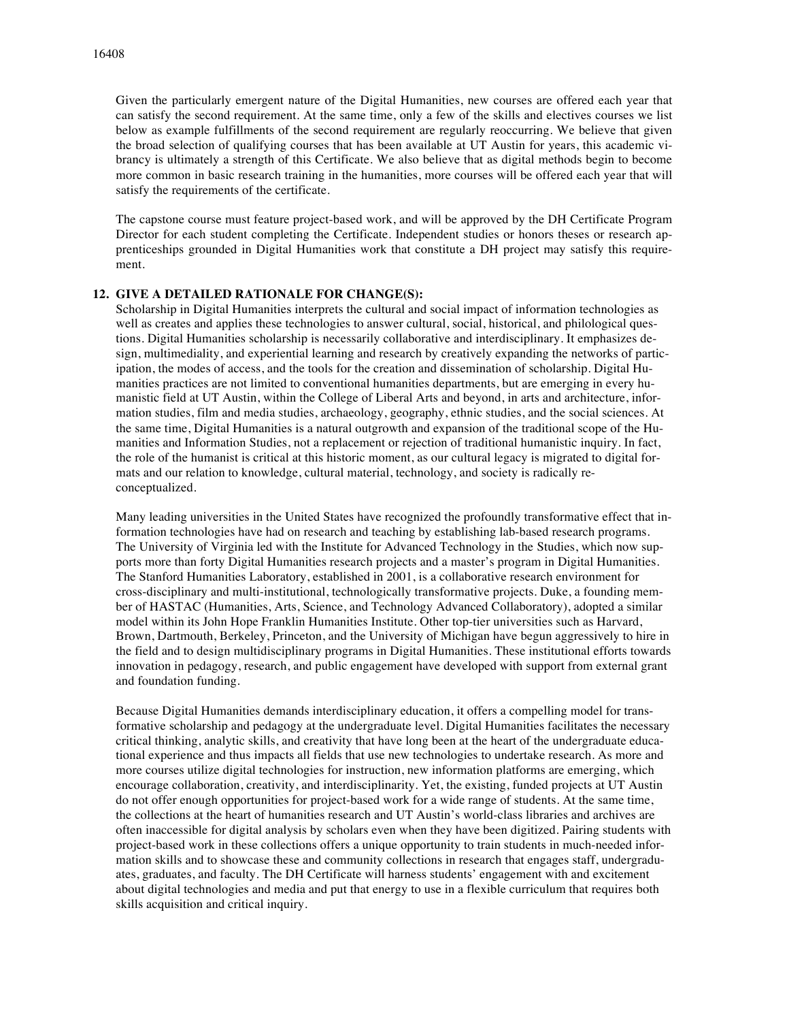Given the particularly emergent nature of the Digital Humanities, new courses are offered each year that can satisfy the second requirement. At the same time, only a few of the skills and electives courses we list below as example fulfillments of the second requirement are regularly reoccurring. We believe that given the broad selection of qualifying courses that has been available at UT Austin for years, this academic vibrancy is ultimately a strength of this Certificate. We also believe that as digital methods begin to become more common in basic research training in the humanities, more courses will be offered each year that will satisfy the requirements of the certificate.

The capstone course must feature project-based work, and will be approved by the DH Certificate Program Director for each student completing the Certificate. Independent studies or honors theses or research apprenticeships grounded in Digital Humanities work that constitute a DH project may satisfy this requirement.

#### **12. GIVE A DETAILED RATIONALE FOR CHANGE(S):**

Scholarship in Digital Humanities interprets the cultural and social impact of information technologies as well as creates and applies these technologies to answer cultural, social, historical, and philological questions. Digital Humanities scholarship is necessarily collaborative and interdisciplinary. It emphasizes design, multimediality, and experiential learning and research by creatively expanding the networks of participation, the modes of access, and the tools for the creation and dissemination of scholarship. Digital Humanities practices are not limited to conventional humanities departments, but are emerging in every humanistic field at UT Austin, within the College of Liberal Arts and beyond, in arts and architecture, information studies, film and media studies, archaeology, geography, ethnic studies, and the social sciences. At the same time, Digital Humanities is a natural outgrowth and expansion of the traditional scope of the Humanities and Information Studies, not a replacement or rejection of traditional humanistic inquiry. In fact, the role of the humanist is critical at this historic moment, as our cultural legacy is migrated to digital formats and our relation to knowledge, cultural material, technology, and society is radically reconceptualized.

Many leading universities in the United States have recognized the profoundly transformative effect that information technologies have had on research and teaching by establishing lab-based research programs. The University of Virginia led with the Institute for Advanced Technology in the Studies, which now supports more than forty Digital Humanities research projects and a master's program in Digital Humanities. The Stanford Humanities Laboratory, established in 2001, is a collaborative research environment for cross-disciplinary and multi-institutional, technologically transformative projects. Duke, a founding member of HASTAC (Humanities, Arts, Science, and Technology Advanced Collaboratory), adopted a similar model within its John Hope Franklin Humanities Institute. Other top-tier universities such as Harvard, Brown, Dartmouth, Berkeley, Princeton, and the University of Michigan have begun aggressively to hire in the field and to design multidisciplinary programs in Digital Humanities. These institutional efforts towards innovation in pedagogy, research, and public engagement have developed with support from external grant and foundation funding.

Because Digital Humanities demands interdisciplinary education, it offers a compelling model for transformative scholarship and pedagogy at the undergraduate level. Digital Humanities facilitates the necessary critical thinking, analytic skills, and creativity that have long been at the heart of the undergraduate educational experience and thus impacts all fields that use new technologies to undertake research. As more and more courses utilize digital technologies for instruction, new information platforms are emerging, which encourage collaboration, creativity, and interdisciplinarity. Yet, the existing, funded projects at UT Austin do not offer enough opportunities for project-based work for a wide range of students. At the same time, the collections at the heart of humanities research and UT Austin's world-class libraries and archives are often inaccessible for digital analysis by scholars even when they have been digitized. Pairing students with project-based work in these collections offers a unique opportunity to train students in much-needed information skills and to showcase these and community collections in research that engages staff, undergraduates, graduates, and faculty. The DH Certificate will harness students' engagement with and excitement about digital technologies and media and put that energy to use in a flexible curriculum that requires both skills acquisition and critical inquiry.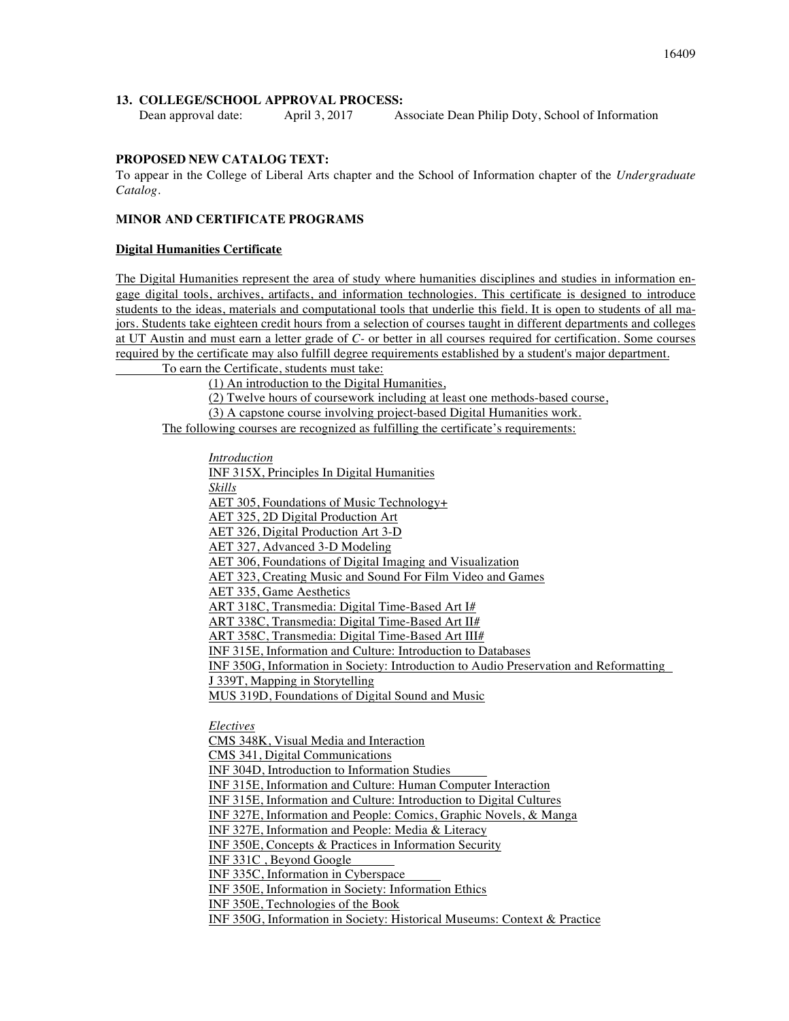# **13. COLLEGE/SCHOOL APPROVAL PROCESS:**

Dean approval date: April 3, 2017 Associate Dean Philip Doty, School of Information

# **PROPOSED NEW CATALOG TEXT:**

To appear in the College of Liberal Arts chapter and the School of Information chapter of the *Undergraduate Catalog.*

# **MINOR AND CERTIFICATE PROGRAMS**

#### **Digital Humanities Certificate**

The Digital Humanities represent the area of study where humanities disciplines and studies in information engage digital tools, archives, artifacts, and information technologies. This certificate is designed to introduce students to the ideas, materials and computational tools that underlie this field. It is open to students of all majors. Students take eighteen credit hours from a selection of courses taught in different departments and colleges at UT Austin and must earn a letter grade of *C-* or better in all courses required for certification. Some courses required by the certificate may also fulfill degree requirements established by a student's major department.

To earn the Certificate, students must take:

(1) An introduction to the Digital Humanities,

(2) Twelve hours of coursework including at least one methods-based course,

(3) A capstone course involving project-based Digital Humanities work.

The following courses are recognized as fulfilling the certificate's requirements:

*Introduction*

INF 315X, Principles In Digital Humanities *Skills* AET 305, Foundations of Music Technology+ AET 325, 2D Digital Production Art AET 326, Digital Production Art 3-D AET 327, Advanced 3-D Modeling AET 306, Foundations of Digital Imaging and Visualization AET 323, Creating Music and Sound For Film Video and Games AET 335, Game Aesthetics ART 318C, Transmedia: Digital Time-Based Art I# ART 338C, Transmedia: Digital Time-Based Art II# ART 358C, Transmedia: Digital Time-Based Art III# INF 315E, Information and Culture: Introduction to Databases INF 350G, Information in Society: Introduction to Audio Preservation and Reformatting J 339T, Mapping in Storytelling MUS 319D, Foundations of Digital Sound and Music *Electives* CMS 348K, Visual Media and Interaction CMS 341, Digital Communications INF 304D, Introduction to Information Studies INF 315E, Information and Culture: Human Computer Interaction INF 315E, Information and Culture: Introduction to Digital Cultures INF 327E, Information and People: Comics, Graphic Novels, & Manga INF 327E, Information and People: Media & Literacy INF 350E, Concepts & Practices in Information Security INF 331C , Beyond Google INF 335C, Information in Cyberspace INF 350E, Information in Society: Information Ethics INF 350E, Technologies of the Book INF 350G, Information in Society: Historical Museums: Context & Practice